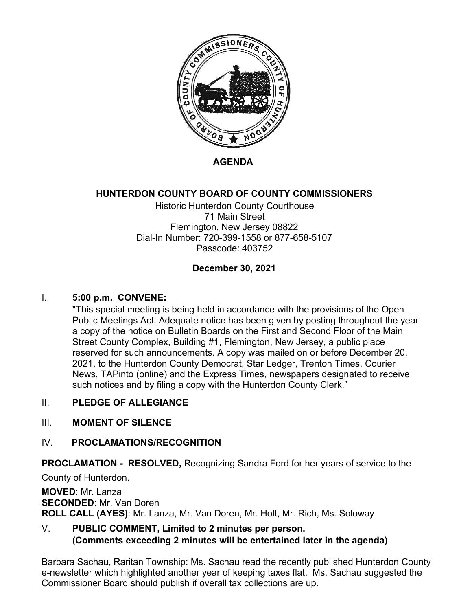

**AGENDA**

## **HUNTERDON COUNTY BOARD OF COUNTY COMMISSIONERS**

Historic Hunterdon County Courthouse 71 Main Street Flemington, New Jersey 08822 Dial-In Number: 720-399-1558 or 877-658-5107 Passcode: 403752

### **December 30, 2021**

### I. **5:00 p.m. CONVENE:**

"This special meeting is being held in accordance with the provisions of the Open Public Meetings Act. Adequate notice has been given by posting throughout the year a copy of the notice on Bulletin Boards on the First and Second Floor of the Main Street County Complex, Building #1, Flemington, New Jersey, a public place reserved for such announcements. A copy was mailed on or before December 20, 2021, to the Hunterdon County Democrat, Star Ledger, Trenton Times, Courier News, TAPinto (online) and the Express Times, newspapers designated to receive such notices and by filing a copy with the Hunterdon County Clerk."

#### II. **PLEDGE OF ALLEGIANCE**

#### III. **MOMENT OF SILENCE**

#### IV. **PROCLAMATIONS/RECOGNITION**

**PROCLAMATION - RESOLVED,** Recognizing Sandra Ford for her years of service to the County of Hunterdon.

**MOVED**: Mr. Lanza **SECONDED**: Mr. Van Doren **ROLL CALL (AYES)**: Mr. Lanza, Mr. Van Doren, Mr. Holt, Mr. Rich, Ms. Soloway

# V. **PUBLIC COMMENT, Limited to 2 minutes per person. (Comments exceeding 2 minutes will be entertained later in the agenda)**

Barbara Sachau, Raritan Township: Ms. Sachau read the recently published Hunterdon County e-newsletter which highlighted another year of keeping taxes flat. Ms. Sachau suggested the Commissioner Board should publish if overall tax collections are up.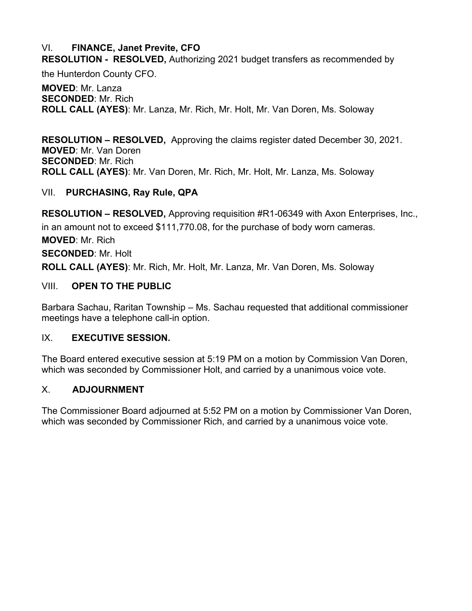## VI. **FINANCE, Janet Previte, CFO**

**RESOLUTION - RESOLVED,** Authorizing 2021 budget transfers as recommended by

the Hunterdon County CFO.

**MOVED**: Mr. Lanza **SECONDED**: Mr. Rich **ROLL CALL (AYES)**: Mr. Lanza, Mr. Rich, Mr. Holt, Mr. Van Doren, Ms. Soloway

**RESOLUTION – RESOLVED,** Approving the claims register dated December 30, 2021. **MOVED**: Mr. Van Doren **SECONDED**: Mr. Rich **ROLL CALL (AYES)**: Mr. Van Doren, Mr. Rich, Mr. Holt, Mr. Lanza, Ms. Soloway

## VII. **PURCHASING, Ray Rule, QPA**

**RESOLUTION – RESOLVED,** Approving requisition #R1-06349 with Axon Enterprises, Inc., in an amount not to exceed \$111,770.08, for the purchase of body worn cameras. **MOVED**: Mr. Rich

**SECONDED**: Mr. Holt

**ROLL CALL (AYES)**: Mr. Rich, Mr. Holt, Mr. Lanza, Mr. Van Doren, Ms. Soloway

## VIII. **OPEN TO THE PUBLIC**

Barbara Sachau, Raritan Township – Ms. Sachau requested that additional commissioner meetings have a telephone call-in option.

### IX. **EXECUTIVE SESSION.**

The Board entered executive session at 5:19 PM on a motion by Commission Van Doren, which was seconded by Commissioner Holt, and carried by a unanimous voice vote.

### X. **ADJOURNMENT**

The Commissioner Board adjourned at 5:52 PM on a motion by Commissioner Van Doren, which was seconded by Commissioner Rich, and carried by a unanimous voice vote.